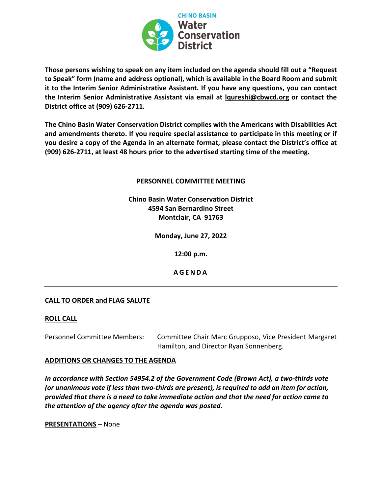

**Those persons wishing to speak on any item included on the agenda should fill out a "Request to Speak" form (name and address optional), which is available in the Board Room and submit it to the Interim Senior Administrative Assistant. If you have any questions, you can contact the Interim Senior Administrative Assistant via email at lqureshi@cbwcd.org or contact the District office at (909) 626-2711.** 

**The Chino Basin Water Conservation District complies with the Americans with Disabilities Act and amendments thereto. If you require special assistance to participate in this meeting or if you desire a copy of the Agenda in an alternate format, please contact the District's office at (909) 626-2711, at least 48 hours prior to the advertised starting time of the meeting.** 

**PERSONNEL COMMITTEE MEETING**

**Chino Basin Water Conservation District 4594 San Bernardino Street Montclair, CA 91763**

**Monday, June 27, 2022**

**12:00 p.m.**

**A GENDA**

## **CALL TO ORDER and FLAG SALUTE**

## **ROLL CALL**

Personnel Committee Members: Committee Chair Marc Grupposo, Vice President Margaret Hamilton, and Director Ryan Sonnenberg.

### **ADDITIONS OR CHANGES TO THE AGENDA**

*In accordance with Section 54954.2 of the Government Code (Brown Act), a two-thirds vote (or unanimous vote if less than two-thirds are present), is required to add an item for action, provided that there is a need to take immediate action and that the need for action came to the attention of the agency after the agenda was posted.*

**PRESENTATIONS** – None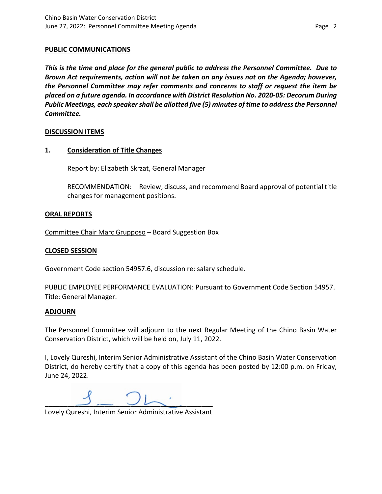### **PUBLIC COMMUNICATIONS**

*This is the time and place for the general public to address the Personnel Committee. Due to Brown Act requirements, action will not be taken on any issues not on the Agenda; however, the Personnel Committee may refer comments and concerns to staff or request the item be placed on a future agenda. In accordance with District Resolution No. 2020-05: Decorum During Public Meetings, each speaker shall be allotted five (5) minutes of time to address the Personnel Committee.* 

## **DISCUSSION ITEMS**

## **1. Consideration of Title Changes**

Report by: Elizabeth Skrzat, General Manager

RECOMMENDATION: Review, discuss, and recommend Board approval of potential title changes for management positions.

## **ORAL REPORTS**

Committee Chair Marc Grupposo – Board Suggestion Box

## **CLOSED SESSION**

Government Code section 54957.6, discussion re: salary schedule.

PUBLIC EMPLOYEE PERFORMANCE EVALUATION: Pursuant to Government Code Section 54957. Title: General Manager.

## **ADJOURN**

The Personnel Committee will adjourn to the next Regular Meeting of the Chino Basin Water Conservation District, which will be held on, July 11, 2022.

I, Lovely Qureshi, Interim Senior Administrative Assistant of the Chino Basin Water Conservation District, do hereby certify that a copy of this agenda has been posted by 12:00 p.m. on Friday, June 24, 2022.

 $\overline{\phantom{a}}$   $\overline{\phantom{a}}$   $\overline{\phantom{a}}$   $\overline{\phantom{a}}$   $\overline{\phantom{a}}$   $\overline{\phantom{a}}$   $\overline{\phantom{a}}$   $\overline{\phantom{a}}$   $\overline{\phantom{a}}$   $\overline{\phantom{a}}$   $\overline{\phantom{a}}$   $\overline{\phantom{a}}$   $\overline{\phantom{a}}$   $\overline{\phantom{a}}$   $\overline{\phantom{a}}$   $\overline{\phantom{a}}$   $\overline{\phantom{a}}$   $\overline{\phantom{a}}$   $\overline{\$ 

Lovely Qureshi, Interim Senior Administrative Assistant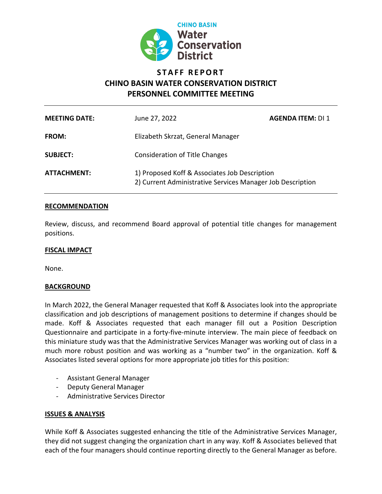

# **STAFF REPORT CHINO BASIN WATER CONSERVATION DISTRICT PERSONNEL COMMITTEE MEETING**

| <b>MEETING DATE:</b> | June 27, 2022                                                                                               | <b>AGENDA ITEM: DI 1</b> |
|----------------------|-------------------------------------------------------------------------------------------------------------|--------------------------|
| <b>FROM:</b>         | Elizabeth Skrzat, General Manager                                                                           |                          |
| <b>SUBJECT:</b>      | <b>Consideration of Title Changes</b>                                                                       |                          |
| ATTACHMENT:          | 1) Proposed Koff & Associates Job Description<br>2) Current Administrative Services Manager Job Description |                          |

## **RECOMMENDATION**

Review, discuss, and recommend Board approval of potential title changes for management positions.

### **FISCAL IMPACT**

None.

## **BACKGROUND**

In March 2022, the General Manager requested that Koff & Associates look into the appropriate classification and job descriptions of management positions to determine if changes should be made. Koff & Associates requested that each manager fill out a Position Description Questionnaire and participate in a forty-five-minute interview. The main piece of feedback on this miniature study was that the Administrative Services Manager was working out of class in a much more robust position and was working as a "number two" in the organization. Koff & Associates listed several options for more appropriate job titles for this position:

- Assistant General Manager
- Deputy General Manager
- Administrative Services Director

## **ISSUES & ANALYSIS**

While Koff & Associates suggested enhancing the title of the Administrative Services Manager, they did not suggest changing the organization chart in any way. Koff & Associates believed that each of the four managers should continue reporting directly to the General Manager as before.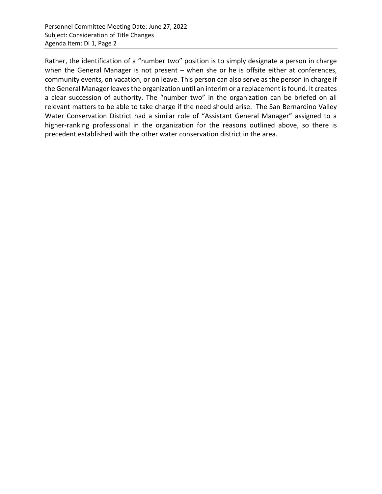Rather, the identification of a "number two" position is to simply designate a person in charge when the General Manager is not present - when she or he is offsite either at conferences, community events, on vacation, or on leave. This person can also serve as the person in charge if the General Manager leaves the organization until an interim or a replacement is found. It creates a clear succession of authority. The "number two" in the organization can be briefed on all relevant matters to be able to take charge if the need should arise. The San Bernardino Valley Water Conservation District had a similar role of "Assistant General Manager" assigned to a higher-ranking professional in the organization for the reasons outlined above, so there is precedent established with the other water conservation district in the area.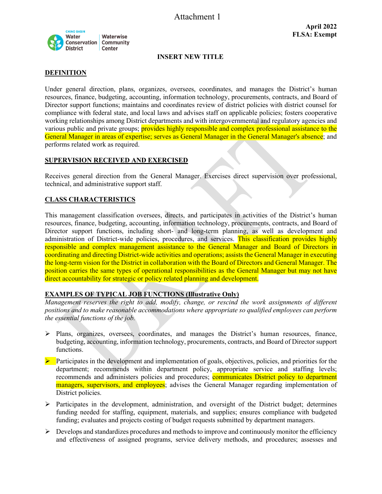Attachment 1



### **INSERT NEW TITLE**

### **DEFINITION**

Under general direction, plans, organizes, oversees, coordinates, and manages the District's human resources, finance, budgeting, accounting, information technology, procurements, contracts, and Board of Director support functions; maintains and coordinates review of district policies with district counsel for compliance with federal state, and local laws and advises staff on applicable policies; fosters cooperative working relationships among District departments and with intergovernmental and regulatory agencies and various public and private groups; **provides highly responsible and complex professional assistance to the** General Manager in areas of expertise; serves as General Manager in the General Manager's absence; and performs related work as required.

### **SUPERVISION RECEIVED AND EXERCISED**

Receives general direction from the General Manager. Exercises direct supervision over professional, technical, and administrative support staff.

### **CLASS CHARACTERISTICS**

This management classification oversees, directs, and participates in activities of the District's human resources, finance, budgeting, accounting, information technology, procurements, contracts, and Board of Director support functions, including short- and long-term planning, as well as development and administration of District-wide policies, procedures, and services. This classification provides highly responsible and complex management assistance to the General Manager and Board of Directors in coordinating and directing District-wide activities and operations; assists the General Manager in executing the long-term vision for the District in collaboration with the Board of Directors and General Manager. The position carries the same types of operational responsibilities as the General Manager but may not have direct accountability for strategic or policy related planning and development.

### **EXAMPLES OF TYPICAL JOB FUNCTIONS (Illustrative Only)**

*Management reserves the right to add, modify, change, or rescind the work assignments of different positions and to make reasonable accommodations where appropriate so qualified employees can perform the essential functions of the job.* 

- $\triangleright$  Plans, organizes, oversees, coordinates, and manages the District's human resources, finance, budgeting, accounting, information technology, procurements, contracts, and Board of Director support functions.
- $\triangleright$  Participates in the development and implementation of goals, objectives, policies, and priorities for the department; recommends within department policy, appropriate service and staffing levels; recommends and administers policies and procedures; communicates District policy to department managers, supervisors, and employees; advises the General Manager regarding implementation of District policies.
- $\triangleright$  Participates in the development, administration, and oversight of the District budget; determines funding needed for staffing, equipment, materials, and supplies; ensures compliance with budgeted funding; evaluates and projects costing of budget requests submitted by department managers.
- $\triangleright$  Develops and standardizes procedures and methods to improve and continuously monitor the efficiency and effectiveness of assigned programs, service delivery methods, and procedures; assesses and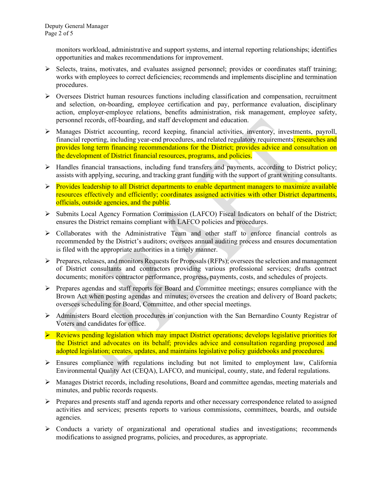monitors workload, administrative and support systems, and internal reporting relationships; identifies opportunities and makes recommendations for improvement.

- $\triangleright$  Selects, trains, motivates, and evaluates assigned personnel; provides or coordinates staff training; works with employees to correct deficiencies; recommends and implements discipline and termination procedures.
- $\triangleright$  Oversees District human resources functions including classification and compensation, recruitment and selection, on-boarding, employee certification and pay, performance evaluation, disciplinary action, employer-employee relations, benefits administration, risk management, employee safety, personnel records, off-boarding, and staff development and education.
- Manages District accounting, record keeping, financial activities, inventory, investments, payroll, financial reporting, including year-end procedures, and related regulatory requirements; researches and provides long term financing recommendations for the District; provides advice and consultation on the development of District financial resources, programs, and policies.
- > Handles financial transactions, including fund transfers and payments, according to District policy; assists with applying, securing, and tracking grant funding with the support of grant writing consultants.
- $\triangleright$  Provides leadership to all District departments to enable department managers to maximize available resources effectively and efficiently; coordinates assigned activities with other District departments, officials, outside agencies, and the public.
- $\triangleright$  Submits Local Agency Formation Commission (LAFCO) Fiscal Indicators on behalf of the District; ensures the District remains compliant with LAFCO policies and procedures.
- Collaborates with the Administrative Team and other staff to enforce financial controls as recommended by the District's auditors; oversees annual auditing process and ensures documentation is filed with the appropriate authorities in a timely manner.
- $\triangleright$  Prepares, releases, and monitors Requests for Proposals (RFPs); oversees the selection and management of District consultants and contractors providing various professional services; drafts contract documents; monitors contractor performance, progress, payments, costs, and schedules of projects.
- Prepares agendas and staff reports for Board and Committee meetings; ensures compliance with the Brown Act when posting agendas and minutes; oversees the creation and delivery of Board packets; oversees scheduling for Board, Committee, and other special meetings.
- Administers Board election procedures in conjunction with the San Bernardino County Registrar of Voters and candidates for office.
- $\triangleright$  Reviews pending legislation which may impact District operations; develops legislative priorities for the District and advocates on its behalf; provides advice and consultation regarding proposed and adopted legislation; creates, updates, and maintains legislative policy guidebooks and procedures.
- Ensures compliance with regulations including but not limited to employment law, California Environmental Quality Act (CEQA), LAFCO, and municipal, county, state, and federal regulations.
- $\triangleright$  Manages District records, including resolutions, Board and committee agendas, meeting materials and minutes, and public records requests.
- Prepares and presents staff and agenda reports and other necessary correspondence related to assigned activities and services; presents reports to various commissions, committees, boards, and outside agencies.
- Conducts a variety of organizational and operational studies and investigations; recommends modifications to assigned programs, policies, and procedures, as appropriate.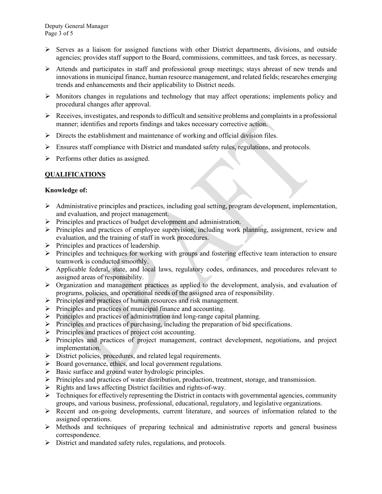- $\triangleright$  Serves as a liaison for assigned functions with other District departments, divisions, and outside agencies; provides staff support to the Board, commissions, committees, and task forces, as necessary.
- Attends and participates in staff and professional group meetings; stays abreast of new trends and innovations in municipal finance, human resource management, and related fields; researches emerging trends and enhancements and their applicability to District needs.
- $\triangleright$  Monitors changes in regulations and technology that may affect operations; implements policy and procedural changes after approval.
- $\triangleright$  Receives, investigates, and responds to difficult and sensitive problems and complaints in a professional manner; identifies and reports findings and takes necessary corrective action.
- $\triangleright$  Directs the establishment and maintenance of working and official division files.
- Ensures staff compliance with District and mandated safety rules, regulations, and protocols.
- $\triangleright$  Performs other duties as assigned.

### **QUALIFICATIONS**

### **Knowledge of:**

- $\triangleright$  Administrative principles and practices, including goal setting, program development, implementation, and evaluation, and project management.
- $\triangleright$  Principles and practices of budget development and administration.
- Principles and practices of employee supervision, including work planning, assignment, review and evaluation, and the training of staff in work procedures.
- $\triangleright$  Principles and practices of leadership.
- $\triangleright$  Principles and techniques for working with groups and fostering effective team interaction to ensure teamwork is conducted smoothly.
- $\triangleright$  Applicable federal, state, and local laws, regulatory codes, ordinances, and procedures relevant to assigned areas of responsibility.
- Organization and management practices as applied to the development, analysis, and evaluation of programs, policies, and operational needs of the assigned area of responsibility.
- $\triangleright$  Principles and practices of human resources and risk management.
- $\triangleright$  Principles and practices of municipal finance and accounting.
- $\triangleright$  Principles and practices of administration and long-range capital planning.
- $\triangleright$  Principles and practices of purchasing, including the preparation of bid specifications.
- $\triangleright$  Principles and practices of project cost accounting.
- Principles and practices of project management, contract development, negotiations, and project implementation.
- $\triangleright$  District policies, procedures, and related legal requirements.
- Board governance, ethics, and local government regulations.
- $\triangleright$  Basic surface and ground water hydrologic principles.
- $\triangleright$  Principles and practices of water distribution, production, treatment, storage, and transmission.
- $\triangleright$  Rights and laws affecting District facilities and rights-of-way.
- $\triangleright$  Techniques for effectively representing the District in contacts with governmental agencies, community groups, and various business, professional, educational, regulatory, and legislative organizations.
- $\triangleright$  Recent and on-going developments, current literature, and sources of information related to the assigned operations.
- $\triangleright$  Methods and techniques of preparing technical and administrative reports and general business correspondence.
- District and mandated safety rules, regulations, and protocols.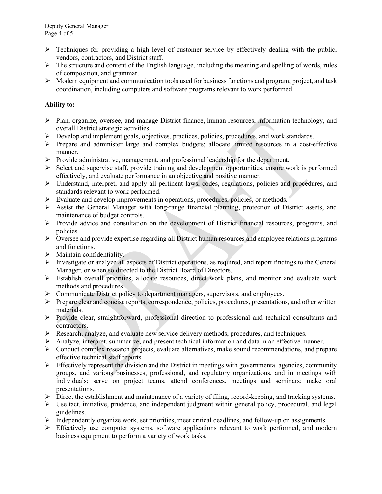- $\triangleright$  Techniques for providing a high level of customer service by effectively dealing with the public, vendors, contractors, and District staff.
- $\triangleright$  The structure and content of the English language, including the meaning and spelling of words, rules of composition, and grammar.
- $\triangleright$  Modern equipment and communication tools used for business functions and program, project, and task coordination, including computers and software programs relevant to work performed.

## **Ability to:**

- $\triangleright$  Plan, organize, oversee, and manage District finance, human resources, information technology, and overall District strategic activities.
- $\triangleright$  Develop and implement goals, objectives, practices, policies, procedures, and work standards.
- Prepare and administer large and complex budgets; allocate limited resources in a cost-effective manner.
- $\triangleright$  Provide administrative, management, and professional leadership for the department.
- $\triangleright$  Select and supervise staff, provide training and development opportunities, ensure work is performed effectively, and evaluate performance in an objective and positive manner.
- Understand, interpret, and apply all pertinent laws, codes, regulations, policies and procedures, and standards relevant to work performed.
- $\triangleright$  Evaluate and develop improvements in operations, procedures, policies, or methods.
- Assist the General Manager with long-range financial planning, protection of District assets, and maintenance of budget controls.
- Provide advice and consultation on the development of District financial resources, programs, and policies.
- $\triangleright$  Oversee and provide expertise regarding all District human resources and employee relations programs and functions.
- $\triangleright$  Maintain confidentiality.
- $\triangleright$  Investigate or analyze all aspects of District operations, as required, and report findings to the General Manager, or when so directed to the District Board of Directors.
- Establish overall priorities, allocate resources, direct work plans, and monitor and evaluate work methods and procedures.
- $\triangleright$  Communicate District policy to department managers, supervisors, and employees.
- Prepare clear and concise reports, correspondence, policies, procedures, presentations, and other written materials.
- $\triangleright$  Provide clear, straightforward, professional direction to professional and technical consultants and contractors.
- Research, analyze, and evaluate new service delivery methods, procedures, and techniques.
- $\triangleright$  Analyze, interpret, summarize, and present technical information and data in an effective manner.
- $\triangleright$  Conduct complex research projects, evaluate alternatives, make sound recommendations, and prepare effective technical staff reports.
- $\triangleright$  Effectively represent the division and the District in meetings with governmental agencies, community groups, and various businesses, professional, and regulatory organizations, and in meetings with individuals; serve on project teams, attend conferences, meetings and seminars; make oral presentations.
- $\triangleright$  Direct the establishment and maintenance of a variety of filing, record-keeping, and tracking systems.
- $\triangleright$  Use tact, initiative, prudence, and independent judgment within general policy, procedural, and legal guidelines.
- $\triangleright$  Independently organize work, set priorities, meet critical deadlines, and follow-up on assignments.
- $\triangleright$  Effectively use computer systems, software applications relevant to work performed, and modern business equipment to perform a variety of work tasks.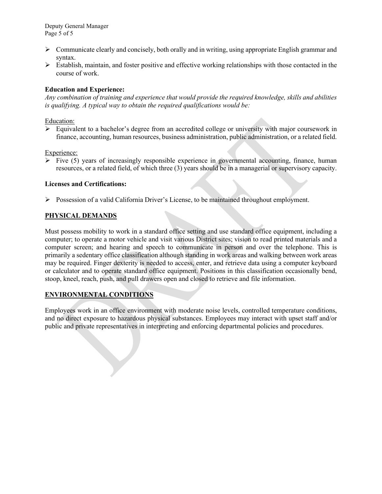Deputy General Manager Page 5 of 5

- $\triangleright$  Communicate clearly and concisely, both orally and in writing, using appropriate English grammar and syntax.
- $\triangleright$  Establish, maintain, and foster positive and effective working relationships with those contacted in the course of work.

### **Education and Experience:**

*Any combination of training and experience that would provide the required knowledge, skills and abilities is qualifying. A typical way to obtain the required qualifications would be:*

### Education:

 $\triangleright$  Equivalent to a bachelor's degree from an accredited college or university with major coursework in finance, accounting, human resources, business administration, public administration, or a related field.

### Experience:

 $\triangleright$  Five (5) years of increasingly responsible experience in governmental accounting, finance, human resources, or a related field, of which three (3) years should be in a managerial or supervisory capacity.

### **Licenses and Certifications:**

 $\triangleright$  Possession of a valid California Driver's License, to be maintained throughout employment.

### **PHYSICAL DEMANDS**

Must possess mobility to work in a standard office setting and use standard office equipment, including a computer; to operate a motor vehicle and visit various District sites; vision to read printed materials and a computer screen; and hearing and speech to communicate in person and over the telephone. This is primarily a sedentary office classification although standing in work areas and walking between work areas may be required. Finger dexterity is needed to access, enter, and retrieve data using a computer keyboard or calculator and to operate standard office equipment. Positions in this classification occasionally bend, stoop, kneel, reach, push, and pull drawers open and closed to retrieve and file information.

### **ENVIRONMENTAL CONDITIONS**

Employees work in an office environment with moderate noise levels, controlled temperature conditions, and no direct exposure to hazardous physical substances. Employees may interact with upset staff and/or public and private representatives in interpreting and enforcing departmental policies and procedures.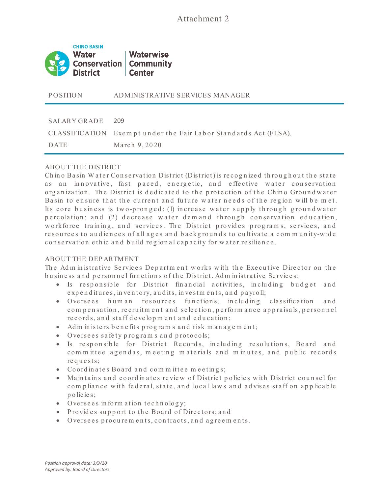

P OSITION ADMINISTRATIVE SERVICES MANAGER

#### SALARY GRADE 209

CLASSIFICATION Exempt under the Fair Labor Standards Act (FLSA).

DATE March 9, 2020

### ABOUT THE DISTRICT

Chino Basin Water Conservation District (District) is recognized throughout the state as an innovative, fast paced, energetic, and effective water conservation organization. The District is dedicated to the protection of the Chino Groundwater Basin to ensure that the current and future water needs of the region will be met. Its core business is two-pronged: (1) increase water supply through groundwater p e rc olation; and (2) de crease water demand through conservation education, workforce training, and services. The District provides programs, services, and re sources to audiences of all ages and backgrounds to cultivate a community-wide conservation ethic and build regional capacity for water resilience.

## ABOUT THE DEP ARTMENT

The Adm in istrative Services Department works with the Executive Director on the business and personnel functions of the District. Adm in istrative Services:

- Is responsible for District financial activities, including budget and expenditures, in ventory, audits, in vestments, and payroll;
- Oversees hum an resources functions, including classification and com pensation, recruitment and selection, performance appraisals, personnel re cords, and staff development and education;
- Adm in isters benefits programs and risk management;
- Oversees safety programs and protocols;
- Is responsible for District Records, including resolutions, Board and com m ittee agendas, meeting materials and minutes, and public records requests;
- Coordinates Board and committee meetings;
- Maintains and coordinates review of District policies with District counsel for com pliance with federal, state, and local laws and advises staff on applicable p o lic ie s;
- Oversees in form ation technology;
- Provides support to the Board of Directors; and
- Oversees procurem ents, contracts, and agreem ents.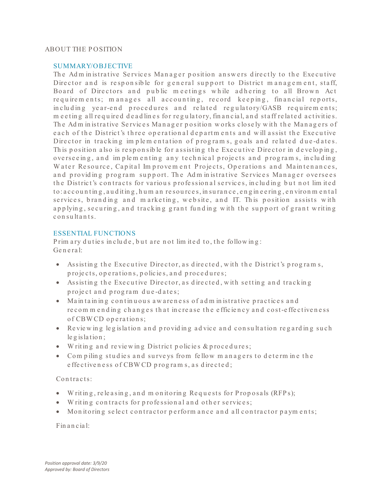### ABOUT THE P OSITION

### SUMMARY/OBJECTIVE

The Adm in istrative Services Manager position answers directly to the Executive Director and is responsible for general support to District management, staff, Board of Directors and public meetings while adhering to all Brown Act requirem ents; manages all accounting, record keeping, financial reports, in cluding year-end procedures and related regulatory/GASB requirements; m e e t in g all required de ad lines for regulatory, financial, and staff related activities. The Adm in istrative Services Manager position works closely with the Managers of e a ch of the District's three operational departments and will assist the Executive Director in tracking implementation of programs, goals and related due-dates. This position also is responsible for assisting the Executive Director in developing, overseeing, and implementing any technical projects and programs, including Water Resource, Capital Improvement Projects, Operations and Maintenances, and providing program support. The Administrative Services Manager oversees the District's contracts for various professional services, including but not limited to : a c c o u n t in g , a u d it in g , h u m an resources, in surance, engine ering, environ m ental services, branding and marketing, website, and IT. This position assists with applying, securing, and tracking grant funding with the support of grant writing c on sultants.

### ESSENTIAL FUNCTIONS

Prim ary du ties in clude, but are not limited to, the following: Ge n e ra l:

- Assisting the Executive Director, as directed, with the District's programs, p rojects, operations, policies, and procedures;
- Assisting the Executive Director, as directed, with setting and tracking project and program due-dates;
- Maintaining continuous awareness of administrative practices and re commending changes that increase the efficiency and cost-effectiveness of CBW CD operations;
- Reviewing legislation and providing advice and consultation regarding such  $le$  g is lation;
- W rit in g a n d re vie w in g Dist ric t p o lic ie s & p ro c e d u re s;
- Compiling studies and surveys from fellow managers to determine the e ffe c tiven e ss of CBW CD programs, as directed;

## Contracts:

- Writing, releasing, and monitoring Requests for Proposals (RFPs);
- Writing contracts for professional and other services;
- Monitoring select contractor perform ance and all contractor payments;

## Fin a n cia l: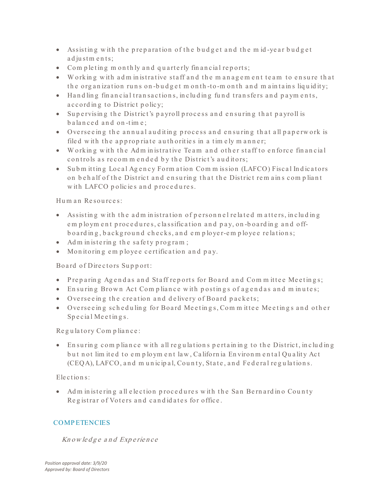- Assisting with the preparation of the budget and the mid-year budget ad justments;
- Completing m on th ly and quarterly financial reports;
- Working with adm inistrative staff and the management team to ensure that the organization runs on-budget m onth-to-m onth and m aintains liquidity;
- Hand ling fin an cial transactions, including fund transfers and payments, a c c ord in g to District p o licy;
- Supervising the District's payroll process and ensuring that payroll is balanced and on-time;
- Overseeing the annual auditing process and ensuring that all paperwork is filed with the appropriate authorities in a timely manner;
- Working with the Administrative Team and other staff to enforce financial controls as recommended by the District's auditors;
- Subm itting Local Agency Form ation Commission (LAFCO) Fiscal Indicators on behalf of the District and ensuring that the District remains compliant with LAFCO policies and procedures.

# Hum an Resources:

- Assisting with the administration of personnel related matters, including em ploym ent procedures, classification and pay, on-boarding and offbo arding, background checks, and employer-employee relations;
- Ad m in istering the safety program;
- Monitoring employee certification and pay.

# Bo ard of Directors Support:

- Preparing Agendas and Staff reports for Board and Committee Meetings;
- En suring Brown Act Compliance with postings of agendas and minutes;
- Overseeing the creation and delivery of Board packets;
- Overseeing scheduling for Board Meetings, Committee Meetings and other Special Meetings.

# Regulatory Compliance:

• En suring compliance with all regulations pertaining to the District, including but not lim ited to employment law, California Environmental Quality Act (CEQA), LAFCO, and municipal, County, State, and Federal regulations.

# Elections:

• Adm in istering all election procedures with the San Bernard in o County Registrar of Voters and candidates for office.

# **COMPETENCIES**

# Knowledge and Experience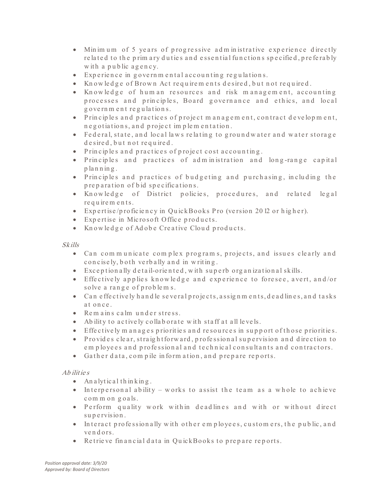- Minimum of 5 years of progressive administrative experience directly re lated to the prim ary duties and essential functions specified, preferably with a public agency.
- Experience in governmental accounting regulations.
- Knowledge of Brown Act requirements desired, but not required.
- Knowledge of human resources and risk management, accounting processes and principles, Board governance and ethics, and local g overnment regulations.
- Principles and practices of project management, contract development, n e g o tiations, and project implementation.
- Federal, state, and local laws relating to groundwater and water storage de sired, but not required.
- Principles and practices of project cost accounting.
- Principles and practices of administration and long-range capital p la n n in g .
- Principles and practices of budgeting and purchasing, including the p reparation of bid specifications.
- Knowledge of District policies, procedures, and related legal re quirem ents.
- Expertise/proficiency in QuickBooks Pro (version 2012 or higher).
- Expertise in Microsoft Office products.
- Knowledge of Adobe Creative Cloud products.

## Skills

- Can communicate complex programs, projects, and issues clearly and concisely, both verbally and in writing.
- Exception ally detail-oriented, with superb organization al skills.
- Effectively applies knowledge and experience to foresee, avert, and/or solve a range of problem s.
- Can effectively handle several projects, assignments, deadlines, and tasks at once.
- Remains calm under stress.
- Ab ility to actively collaborate with staff at all levels.
- Effectively m anages priorities and resources in support of those priorities.
- Provides clear, straightforward, professional supervision and direction to em ployees and professional and technical consultants and contractors.
- Gather data, compile information, and prepare reports.

# Ab ilit ie <sup>s</sup>

- An a lytical thin king.
- Interpersonal ability works to assist the team as a whole to achieve common goals.
- Perform quality work within deadlines and with or without direct supervision.
- $\bullet$  Interact professionally with other employees, customers, the public, and ven d ors.
- Retrieve financial data in QuickBooks to prepare reports.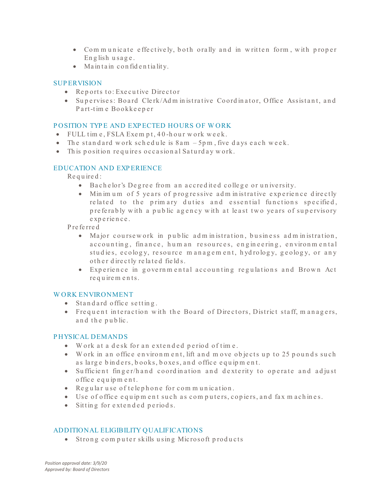- Communicate effectively, both orally and in written form, with proper En g lish u sa g e .
- Maintain confidentiality.

## **SUP ERVISION**

- Reports to: Executive Director
- Supervises: Board Clerk/Administrative Coordinator, Office Assistant, and Part-time Bookkeeper

## P OSITION TYP E AND EXP ECTED HOURS OF W ORK

- FULL time, FSLA Exempt, 40-hour work week.
- The standard work schedule is  $8am 5pm$ , five days each week.
- This position requires occasional Saturday work.

# EDUCATION AND EXP ERIENCE

Re q u ire d :

- Bachelor's Degree from an accredited college or university.
- Minimum of 5 years of progressive administrative experience directly related to the primary duties and essential functions specified, preferably with a public agency with at least two years of supervisory e xp e rie n c e .

P re fe rre d

- Major coursew ork in public administration, business administration, accounting, finance, hum an resources, engineering, environmental studies, ecology, resource management, hydrology, geology, or any o ther directly related fields.
- Experience in governmental accounting regulations and Brown Act re quirem ents.

## W ORK ENVIRONMENT

- Standard office setting.
- Frequent interaction with the Board of Directors, District staff, managers, and the public.

## P HYSICAL DEMANDS

- Work at a desk for an extended period of time.
- Work in an office environment, lift and move objects up to 25 pounds such as large binders, books, boxes, and office equipment.
- Sufficient finger/hand coordination and dexterity to operate and adjust o ffic e e q u ip m e n t.
- Regular use of telephone for communication.
- Use of office equipment such as computers, copiers, and fax machines.
- Sitting for extended periods.

# ADDITIONAL ELIGIBILITY QUALIFICATIONS

• Strong computer skills using Microsoft products